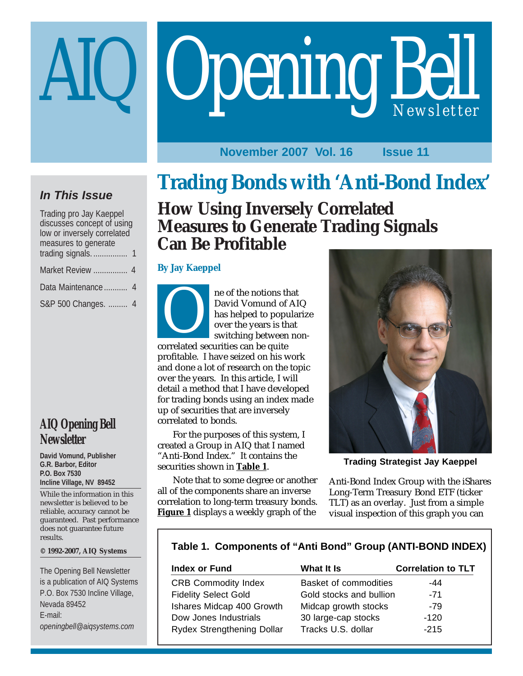# Opening Bell

## **November 2007 Vol. 16 Issue 11**

## **In This Issue**

| Trading pro Jay Kaeppel                                   |  |  |  |  |
|-----------------------------------------------------------|--|--|--|--|
| discusses concept of using<br>low or inversely correlated |  |  |  |  |
| measures to generate                                      |  |  |  |  |
|                                                           |  |  |  |  |
| Market Review  4                                          |  |  |  |  |
| Data Maintenance  4                                       |  |  |  |  |
| S&P 500 Changes.  4                                       |  |  |  |  |

# **AIQ Opening Bell Newsletter**

#### **David Vomund, Publisher G.R. Barbor, Editor P.O. Box 7530 Incline Village, NV 89452**

While the information in this newsletter is believed to be reliable, accuracy cannot be guaranteed. Past performance does not guarantee future results.

#### **© 1992-2007, AIQ Systems**

The Opening Bell Newsletter is a publication of AIQ Systems P.O. Box 7530 Incline Village, Nevada 89452 E-mail: *openingbell@aiqsystems.com*

# **Trading Bonds with 'Anti-Bond Index'**

# **How Using Inversely Correlated Measures to Generate Trading Signals Can Be Profitable**

#### **By Jay Kaeppel**

ne of the notions that David Vomund of AIQ has helped to popularize over the years is that switching between nonne or the notions the<br>David Vomund of<br>has helped to popu<br>over the years is the<br>switching between<br>correlated securities can be quite

profitable. I have seized on his work and done a lot of research on the topic over the years. In this article, I will detail a method that I have developed for trading bonds using an index made up of securities that are inversely correlated to bonds.

For the purposes of this system, I created a Group in AIQ that I named "Anti-Bond Index." It contains the securities shown in **Table 1**.

Note that to some degree or another all of the components share an inverse correlation to long-term treasury bonds. **Figure 1** displays a weekly graph of the



**Trading Strategist Jay Kaeppel**

Anti-Bond Index Group with the iShares Long-Term Treasury Bond ETF (ticker TLT) as an overlay. Just from a simple visual inspection of this graph you can

## **Table 1. Components of "Anti Bond" Group (ANTI-BOND INDEX)**

| Index or Fund               | What It Is              | <b>Correlation to TLT</b> |
|-----------------------------|-------------------------|---------------------------|
| <b>CRB Commodity Index</b>  | Basket of commodities   | -44                       |
| <b>Fidelity Select Gold</b> | Gold stocks and bullion | $-71$                     |
| Ishares Midcap 400 Growth   | Midcap growth stocks    | -79                       |
| Dow Jones Industrials       | 30 large-cap stocks     | $-120$                    |
| Rydex Strengthening Dollar  | Tracks U.S. dollar      | $-215$                    |
|                             |                         |                           |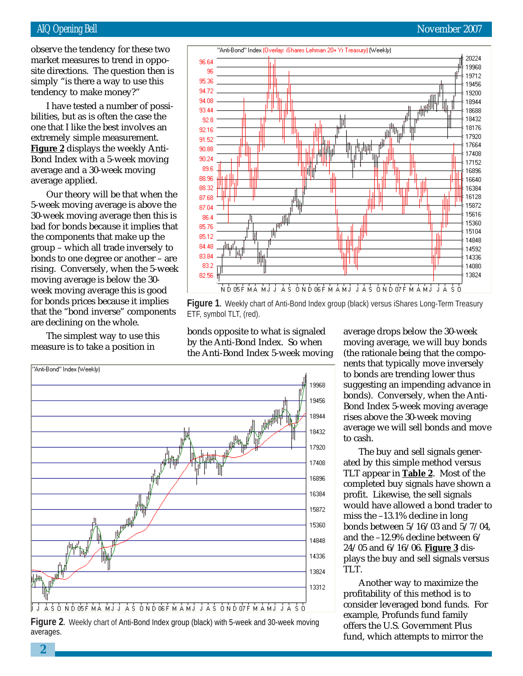#### AIQ Opening Bell November 2007

simply "is there a way to use this  $t_{\rm true}$ observe the tendency for these two market measures to trend in opposite directions. The question then is tendency to make money?"

I have tested a number of possibilities, but as is often the case the one that I like the best involves an extremely simple measurement. **Figure 2** displays the weekly Anti-Bond Index with a 5-week moving average and a 30-week moving average applied.

Our theory will be that when the 5-week moving average is above the 30-week moving average then this is bad for bonds because it implies that the components that make up the group – which all trade inversely to bonds to one degree or another – are rising. Conversely, when the 5-week moving average is below the 30 week moving average this is good for bonds prices because it implies that the "bond inverse" components are declining on the whole.

The simplest way to use this measure is to take a position in



**Figure 1.** Weekly chart of Anti-Bond Index group (black) versus iShares Long-Term Treasury ETF, symbol TLT, (red).

"Anti-Bond" Index (Weekly) 19968 19456 18944 18432 龋 17920 17408 16896 16384 15872 ا<br>ا<del>بلل<sub>س</sub></del> 15360 14848 14336 13824 13312 Á S Ó N D OS É MÁ M J J Á S Ó N D OS É MÁ M J J Á S Ó N D O'Z É MÁ M J J Á S Ó

**Figure 2.** Weekly chart of Anti-Bond Index group (black) with 5-week and 30-week moving averages.

bonds opposite to what is signaled by the Anti-Bond Index. So when the Anti-Bond Index 5-week moving average drops below the 30-week moving average, we will buy bonds (the rationale being that the components that typically move inversely to bonds are trending lower thus suggesting an impending advance in bonds). Conversely, when the Anti-Bond Index 5-week moving average rises above the 30-week moving average we will sell bonds and move to cash.

The buy and sell signals generated by this simple method versus TLT appear in **Table 2**. Most of the completed buy signals have shown a profit. Likewise, the sell signals would have allowed a bond trader to miss the –13.1% decline in long bonds between 5/16/03 and 5/7/04, and the –12.9% decline between 6/ 24/05 and 6/16/06. **Figure 3** displays the buy and sell signals versus TLT.

Another way to maximize the profitability of this method is to consider leveraged bond funds. For example, Profunds fund family offers the U.S. Government Plus fund, which attempts to mirror the

**2**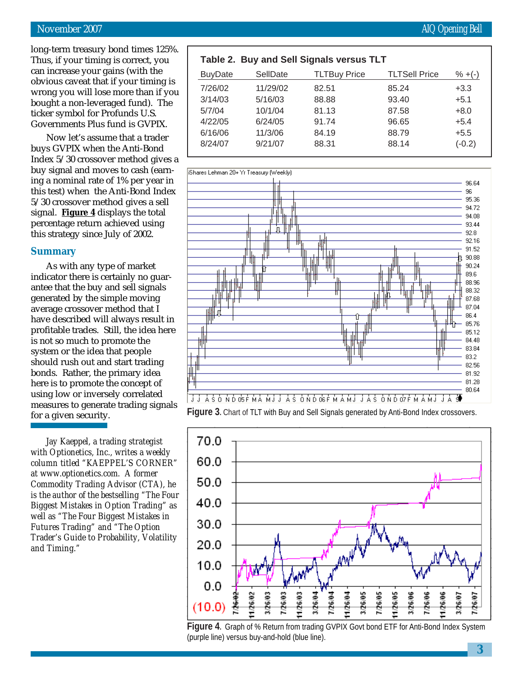#### November 2007 **AIQ Opening Bell**

long-term treasury bond times 125%. Thus, if your timing is correct, you can increase your gains (with the obvious caveat that if your timing is wrong you will lose more than if you bought a non-leveraged fund). The ticker symbol for Profunds U.S. Governments Plus fund is GVPIX.

Now let's assume that a trader buys GVPIX when the Anti-Bond Index 5/30 crossover method gives a buy signal and moves to cash (earning a nominal rate of 1% per year in this test) when the Anti-Bond Index 5/30 crossover method gives a sell signal. **Figure 4** displays the total percentage return achieved using this strategy since July of 2002.

#### **Summary**

As with any type of market indicator there is certainly no guarantee that the buy and sell signals generated by the simple moving average crossover method that I have described will always result in profitable trades. Still, the idea here is not so much to promote the system or the idea that people should rush out and start trading bonds. Rather, the primary idea here is to promote the concept of using low or inversely correlated measures to generate trading signals for a given security.

*Jay Kaeppel, a trading strategist with Optionetics, Inc., writes a weekly column titled "KAEPPEL'S CORNER" at www.optionetics.com. A former Commodity Trading Advisor (CTA), he is the author of the bestselling "The Four Biggest Mistakes in Option Trading" as well as "The Four Biggest Mistakes in Futures Trading" and "The Option Trader's Guide to Probability, Volatility and Timing."*

#### **Table 2. Buy and Sell Signals versus TLT**

| <b>BuyDate</b> | SellDate | <b>TLTBuy Price</b> | <b>TLTSell Price</b> | $\% + (-)$ |
|----------------|----------|---------------------|----------------------|------------|
| 7/26/02        | 11/29/02 | 82.51               | 85.24                | $+3.3$     |
| 3/14/03        | 5/16/03  | 88.88               | 93.40                | $+5.1$     |
| 5/7/04         | 10/1/04  | 81.13               | 87.58                | $+8.0$     |
| 4/22/05        | 6/24/05  | 91.74               | 96.65                | $+5.4$     |
| 6/16/06        | 11/3/06  | 84.19               | 88.79                | $+5.5$     |
| 8/24/07        | 9/21/07  | 88.31               | 88.14                | $(-0.2)$   |
|                |          |                     |                      |            |



**Figure 3.** Chart of TLT with Buy and Sell Signals generated by Anti-Bond Index crossovers.



**Figure 4.** Graph of % Return from trading GVPIX Govt bond ETF for Anti-Bond Index System (purple line) versus buy-and-hold (blue line).